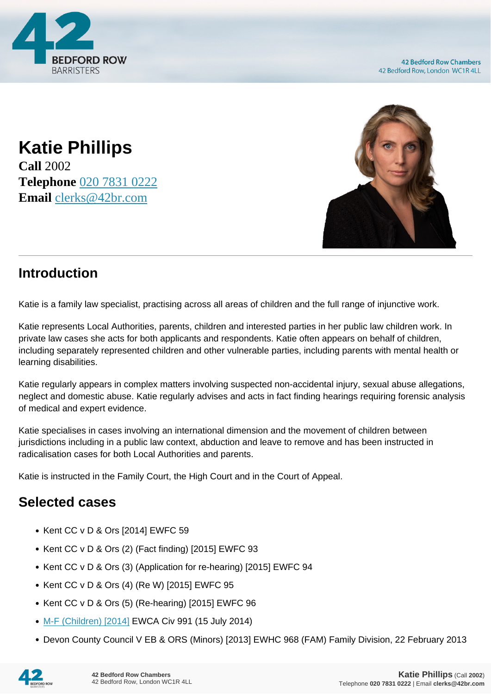

**Katie Phillips Call** 2002 **Telephone** [020 7831 0222](https://pdf.codeshore.co/_42br/tel:020 7831 0222) **Email** [clerks@42br.com](mailto:clerks@42br.com)



## **Introduction**

Katie is a family law specialist, practising across all areas of children and the full range of injunctive work.

Katie represents Local Authorities, parents, children and interested parties in her public law children work. In private law cases she acts for both applicants and respondents. Katie often appears on behalf of children, including separately represented children and other vulnerable parties, including parents with mental health or learning disabilities.

Katie regularly appears in complex matters involving suspected non-accidental injury, sexual abuse allegations, neglect and domestic abuse. Katie regularly advises and acts in fact finding hearings requiring forensic analysis of medical and expert evidence.

Katie specialises in cases involving an international dimension and the movement of children between jurisdictions including in a public law context, abduction and leave to remove and has been instructed in radicalisation cases for both Local Authorities and parents.

Katie is instructed in the Family Court, the High Court and in the Court of Appeal.

## **Selected cases**

- Kent CC v D & Ors [2014] EWFC 59
- $\bullet$  Kent CC v D & Ors (2) (Fact finding) [2015] EWFC 93
- Kent CC v D & Ors (3) (Application for re-hearing) [2015] EWFC 94
- Kent CC v D & Ors (4) (Re W) [2015] EWFC 95
- $\bullet$  Kent CC v D & Ors (5) (Re-hearing) [2015] EWFC 96
- [M-F \(Children\) \[2014\]](http://www.bailii.org/ew/cases/EWCA/Civ/2014/991.html) EWCA Civ 991 (15 July 2014)
- Devon County Council V EB & ORS (Minors) [2013] EWHC 968 (FAM) Family Division, 22 February 2013